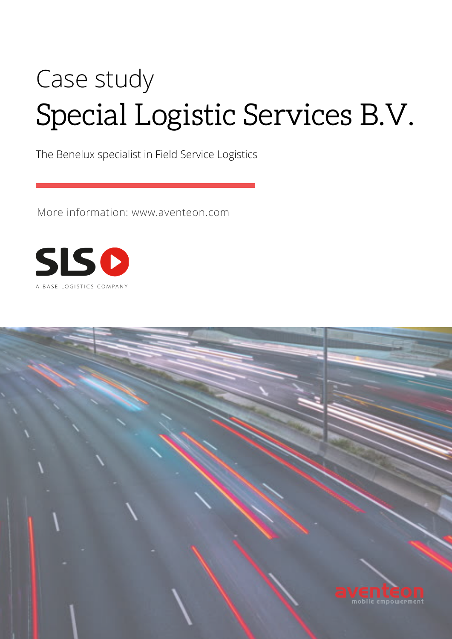# Case study Special Logistic Services B.V.

The Benelux specialist in Field Service Logistics

More information: www.aventeon.com



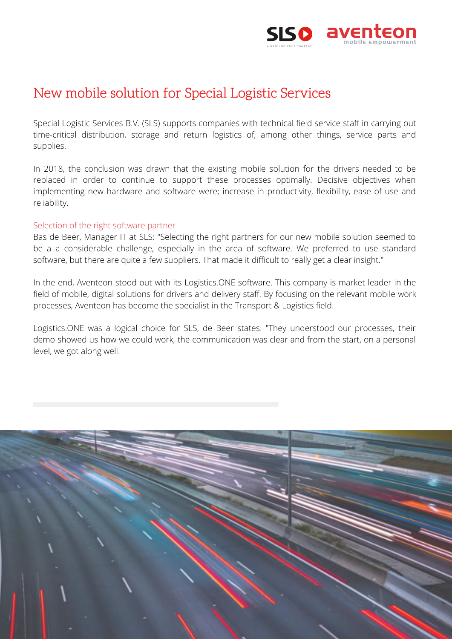

# New mobile solution for Special Logistic Services

Special Logistic Services B.V. (SLS) supports companies with technical field service staff in carrying out time-critical distribution, storage and return logistics of, among other things, service parts and supplies.

In 2018, the conclusion was drawn that the existing mobile solution for the drivers needed to be replaced in order to continue to support these processes optimally. Decisive objectives when implementing new hardware and software were; increase in productivity, flexibility, ease of use and reliability.

## Selection of the right software partner

Bas de Beer, Manager IT at SLS: "Selecting the right partners for our new mobile solution seemed to be a a considerable challenge, especially in the area of software. We preferred to use standard software, but there are quite a few suppliers. That made it difficult to really get a clear insight."

In the end, Aventeon stood out with its Logistics.ONE software. This company is market leader in the field of mobile, digital solutions for drivers and delivery staff. By focusing on the relevant mobile work processes, Aventeon has become the specialist in the Transport & Logistics field.

Logistics.ONE was a logical choice for SLS, de Beer states: "They understood our processes, their demo showed us how we could work, the communication was clear and from the start, on a personal level, we got along well.